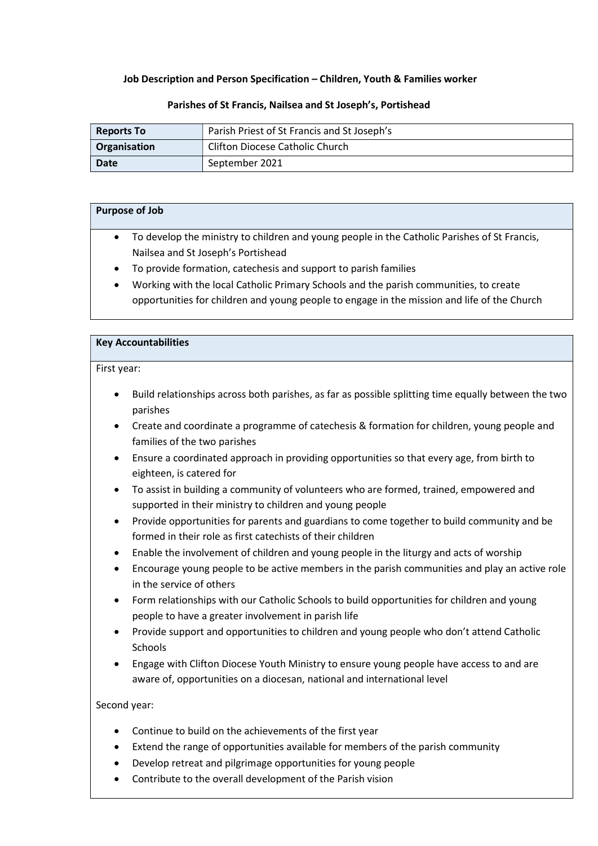## Job Description and Person Specification – Children, Youth & Families worker

#### Parishes of St Francis, Nailsea and St Joseph's, Portishead

| <b>Reports To</b>                                      | Parish Priest of St Francis and St Joseph's |  |
|--------------------------------------------------------|---------------------------------------------|--|
| <b>Clifton Diocese Catholic Church</b><br>Organisation |                                             |  |
| <b>Date</b>                                            | September 2021                              |  |

| <b>Purpose of Job</b> |                                                                                              |  |
|-----------------------|----------------------------------------------------------------------------------------------|--|
|                       |                                                                                              |  |
|                       |                                                                                              |  |
| $\bullet$             | To develop the ministry to children and young people in the Catholic Parishes of St Francis, |  |
|                       | Nailsea and St Joseph's Portishead                                                           |  |
|                       |                                                                                              |  |
| $\bullet$             | To provide formation, catechesis and support to parish families                              |  |
| $\bullet$             | Working with the local Catholic Primary Schools and the parish communities, to create        |  |
|                       |                                                                                              |  |

opportunities for children and young people to engage in the mission and life of the Church

#### Key Accountabilities

#### First year:

- Build relationships across both parishes, as far as possible splitting time equally between the two parishes
- Create and coordinate a programme of catechesis & formation for children, young people and families of the two parishes
- Ensure a coordinated approach in providing opportunities so that every age, from birth to eighteen, is catered for
- To assist in building a community of volunteers who are formed, trained, empowered and supported in their ministry to children and young people
- Provide opportunities for parents and guardians to come together to build community and be formed in their role as first catechists of their children
- Enable the involvement of children and young people in the liturgy and acts of worship
- Encourage young people to be active members in the parish communities and play an active role in the service of others
- Form relationships with our Catholic Schools to build opportunities for children and young people to have a greater involvement in parish life
- Provide support and opportunities to children and young people who don't attend Catholic **Schools**
- Engage with Clifton Diocese Youth Ministry to ensure young people have access to and are aware of, opportunities on a diocesan, national and international level

## Second year:

- Continue to build on the achievements of the first year
- Extend the range of opportunities available for members of the parish community
- Develop retreat and pilgrimage opportunities for young people
- Contribute to the overall development of the Parish vision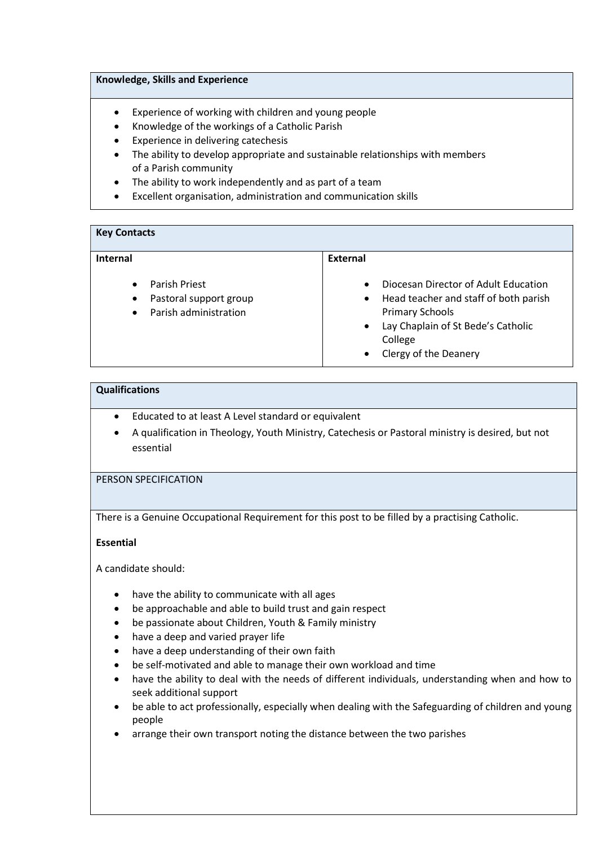## Knowledge, Skills and Experience

- Experience of working with children and young people
- Knowledge of the workings of a Catholic Parish
- Experience in delivering catechesis
- The ability to develop appropriate and sustainable relationships with members of a Parish community
- The ability to work independently and as part of a team
- Excellent organisation, administration and communication skills

| <b>Key Contacts</b>                                                                                     |                                                                                                                                                                                                                                       |  |  |
|---------------------------------------------------------------------------------------------------------|---------------------------------------------------------------------------------------------------------------------------------------------------------------------------------------------------------------------------------------|--|--|
| Internal                                                                                                | <b>External</b>                                                                                                                                                                                                                       |  |  |
| Parish Priest<br>$\bullet$<br>Pastoral support group<br>$\bullet$<br>Parish administration<br>$\bullet$ | Diocesan Director of Adult Education<br>$\bullet$<br>Head teacher and staff of both parish<br>$\bullet$<br><b>Primary Schools</b><br>Lay Chaplain of St Bede's Catholic<br>$\bullet$<br>College<br>Clergy of the Deanery<br>$\bullet$ |  |  |

#### Qualifications

- Educated to at least A Level standard or equivalent
- A qualification in Theology, Youth Ministry, Catechesis or Pastoral ministry is desired, but not essential

# PERSON SPECIFICATION

There is a Genuine Occupational Requirement for this post to be filled by a practising Catholic.

## Essential

A candidate should:

- have the ability to communicate with all ages
- be approachable and able to build trust and gain respect
- be passionate about Children, Youth & Family ministry
- have a deep and varied prayer life
- have a deep understanding of their own faith
- be self-motivated and able to manage their own workload and time
- have the ability to deal with the needs of different individuals, understanding when and how to seek additional support
- be able to act professionally, especially when dealing with the Safeguarding of children and young people
- arrange their own transport noting the distance between the two parishes